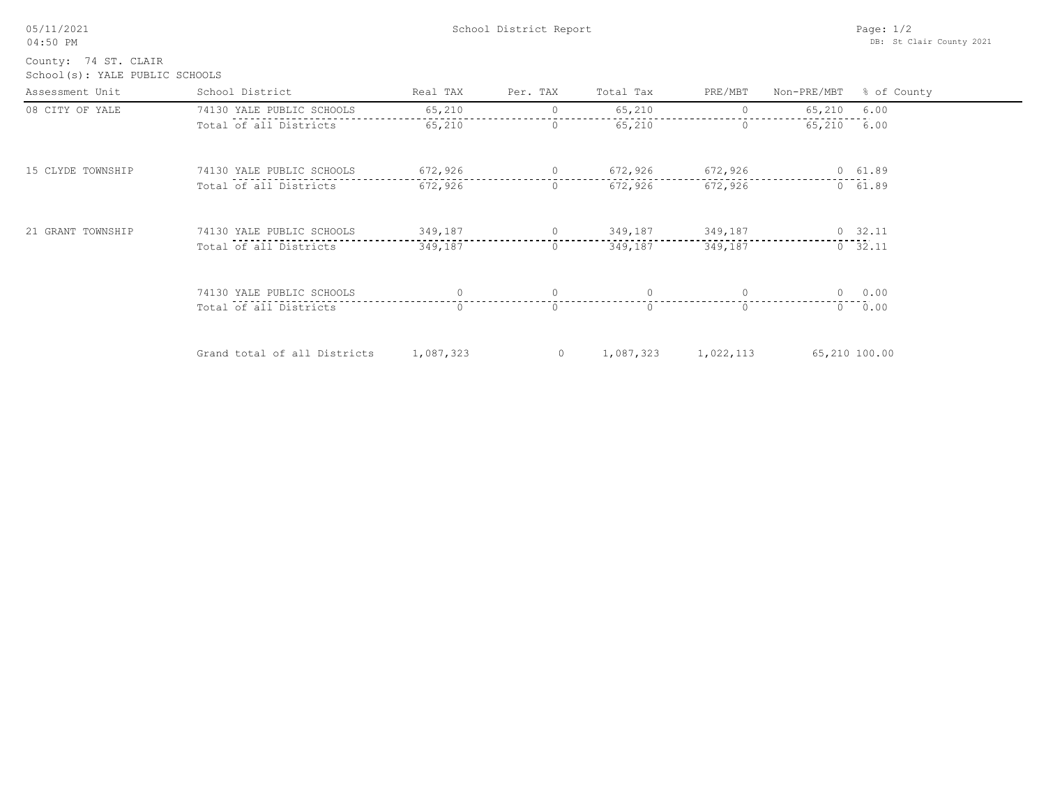| 05/11/2021 |  |
|------------|--|
| $04:50$ PM |  |

School(s): YALE PUBLIC SCHOOLS County: 74 ST. CLAIR

| Assessment Unit   | School District              | Real TAX  | Per. TAX | Total Tax | PRE/MBT   | Non-PRE/MBT   | % of County     |
|-------------------|------------------------------|-----------|----------|-----------|-----------|---------------|-----------------|
| 08 CITY OF YALE   | 74130 YALE PUBLIC SCHOOLS    | 65,210    |          | 65,210    |           | 65,210 6.00   |                 |
|                   | Total of all Districts       | 65,210    | $\circ$  | 65,210    | $\Omega$  | 65,210        | 6.00            |
| 15 CLYDE TOWNSHIP | 74130 YALE PUBLIC SCHOOLS    | 672,926   | $\circ$  | 672,926   | 672,926   |               | 0 61.89         |
|                   | Total of all Districts       | 672,926   | 0        | 672,926   | 672,926   |               | 0 61.89         |
| 21 GRANT TOWNSHIP | 74130 YALE PUBLIC SCHOOLS    | 349,187   | $\circ$  | 349,187   | 349,187   |               | $0 \quad 32.11$ |
|                   | Total of all Districts       | 349,187   | $\Omega$ | 349,187   | 349,187   |               | 0, 32, 11       |
|                   | 74130 YALE PUBLIC SCHOOLS    | $\Omega$  | $\Omega$ |           | $\Omega$  |               | 0 0.00          |
|                   | Total of all Districts       | $\Omega$  | $\Omega$ |           | $\Omega$  |               | 0 0.00          |
|                   | Grand total of all Districts | 1,087,323 | $\circ$  | 1,087,323 | 1,022,113 | 65,210 100.00 |                 |